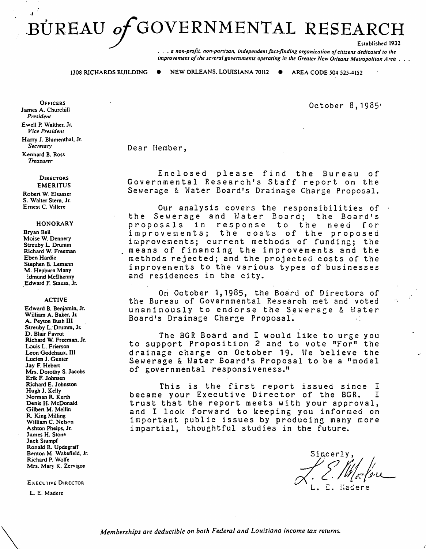# BÜREAU of GOVERNMENTAL RESEARCH

... *a non-profit. non-panisan, independent fact-finding organization of citizens dedicated to the improvement of the several governments operating in the Greater New Orleans Metropolitan Area...* 

1308 RICHARDS BUILDING  $\bullet$  NEW ORLEANS, LOUISIANA 70112  $\bullet$  AREA CODE 504 525-4152

October 8, 1985'

Dear Member,

Enclosed please find the Bureau of Governmental Research's Staff report on the Sewerage & Water Board's Drainage Charge Proposal.

Our analysis covers the responsibilities of<br>ewerage and Water Board; the Board's the Sewerage and Water Board; the Boar<br>proposals in response to the need proposals in response improvements; the costs of the proposed im provements; current methods of funding; the<br>means of financing the improvements and the methods rejected; and the projected costs of the improvements to the various types of businesses and residences in the city.

On October 1,1985, the Board of Directors of the Bureau of Governmental Research met and voted unanimously to endorse the Sewerage & Water Board's Drainage Charge Proposal.

The BGR Board and I would like to urge you to support Proposition 2 and to vote "For" the drainage charge on October 19. We believe the Sewerage & Hater Board's Proposal to be a "model of governmental responsiveness."

This is the first report issued since I<br>e your Executive Director of the BGR. I became your Executive Director of the BGR. trust that the report meets with your approval, and I look forward to keeping you inforraed on important public issues by producing many more impartial, thoughtful studies in the future.

Sincerly.

**OFFICERS** James A. Churchill *President*  Ewell P. Walther. Jr. *Vice President*  Harry J. Blumenthal, Jr. *Secretary*  Kennard B. Ross *Treasurer* 

> **DIRECTORS** EMERITUS

Robert W. Elsasser S. Walter Stem. Jr. Ernest C. Villere

#### HONORARY

Bryan Bell Moise W. Dennery Streuby L. Drumm Richard W. Freeman Eben Hardie Stephen B. Lemann M. Hepburn Many ~dmund Mcllhenny .Edward F. Stauss. Jr.

#### ACTIVE

Edward B. Benjamin. Jr. William A. Baker. Jr. A. Peyton Bush llI Streuby L:Drumm. Jr. D. Blair Favrot Richard W. Freeman, Jr. Louis L. Frierson Leon Godchaux. III Lucien J. Gunter Jay F. Heben Mrs. Dorothy S. Jacobs Erik F. Johnsen Richard E. Johnston Hugh J. Kelly Norman R. Kenh Denis H. McDonald Gilben M. Mellin R King Milling William C. Nelson Ashton Phelps. Jr. James H. Stone Jack Stumpf Ronald R. Updegraff Benton M. Wakefield. Jr. Richard P. Wolfe Mrs. Mary K. Zervigon

**EXECUTIVE DIRECTOR** 

L. E. Madere

 $\diagdown$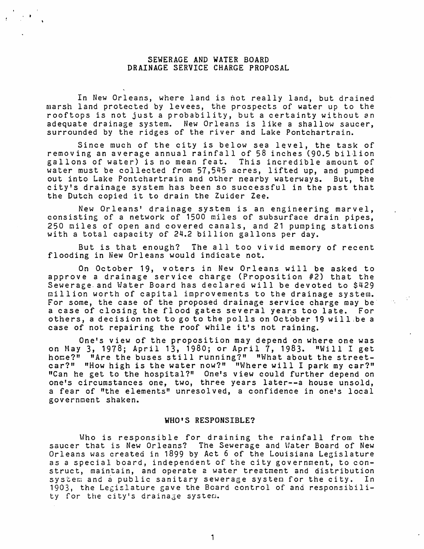## SEWERAGE AND WATER BOARD DRAINAGE SERVICE CHARGE PROPOSAL

In New Orleans, where land is hot really land, but drained marsh land protected by levees, the prospects of water up to the rooftops is not just a probability, but a certainty without an adequate drainage system. New Orleans is like a shallow saucer, surrounded by the ridges of the river and Lake Pontchartrain.

Since much of the city is below sea level, the task of removing an average annual rainfall of 58 inches (90.5 bil1ion gallons of water) is no mean feat. This incredible amount of water must be collected from 57,545 acres, lifted up, and pumped out into Lake Pontchartrain and other nearby waterways. But, the city's drainage system has been so successful in the past that the Dutch copied it to drain the Zuider Zee.

New Orleans' drainage system is an engineering marvel, consisting of a network of 1500 miles of subsurface drain pipes, 250 miles of open and covered canals, and 21 pumping stations with a total capacity of 24.2 billion gallons per day.

But is that enough? The all too vivid memory of recent flooding in New Orleans would indicate not.

On October 19, voters in New Orleans will be asked to approve a drainage service charge (Proposition #2) that the Sewerage and Water Board has declared will be devoted to \$429 million worth of capital improvements to the drainage system. For some, the case of the proposed drainage service charge may be· a case of closing the flood gates several years too late. For others, a decision not to go to the polls on October 19 will be a case of not repairing the roof while it's not raining.

One's view of the proposition may depend on where one was on May 3, 1978; April 13, 1980; or April 7, 1983. "Will I get home?" "Are the buses still running?" "What about the streetcar?" "How high is the water now?" "Where will I park my car?" "Can he get to the hospital?" One's view could further depend on one's circumstances one, two, three years later--a house unsold, a fear of "the elements" unresolved, a confidence in one's local government shaken.

#### WHO'S RESPONSIBLE?

Who is responsible for draining the rainfall from the saucer that is New Orleans? The Sewerage and Water Board of New Orleans was created in 1899 by Act 6 of the Louisiana Legislature as a special board, independent of the city government, to construct, maintain, and operate a water treatment and distribution<br>system and a public sanitary sewerage system for the city. In sy stem and a public sanitary sewerage system for the city. 1903, the Legislature gave the Board control of and responsibility for the city's drainage system.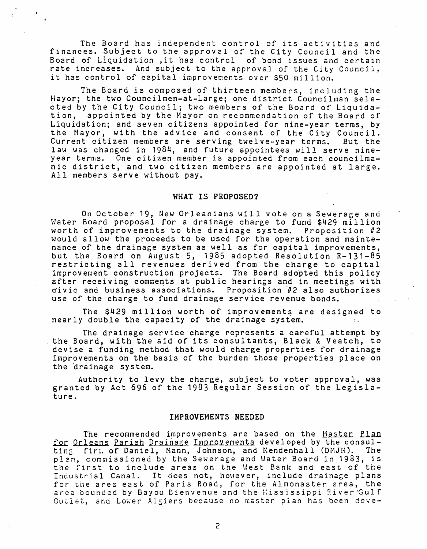The Board has independent control of its activities and finances. Subject to the approval of the City Council and the Board of Liquidation ,it has control of bond issues and certain rate increases. And subject to the approval of the City Council, it has control of capital improvements over \$50 million.

The Board is composed of thirteen members, including the Hayor; the two Councilmen-at-Large; one district Councilman selected by the City Council; two members of the Board of Liquidation, appointed by the Mayor on recommendation of the Board of Liquidation; and seven citizens appointed for nine-year terms, by the Mayor, with the advice and consent of the City Council. Current citizen members are serving twelve-year terms. But the law was changed in 1984, and future appointees will serve nineyear terms. One citizen member is appointed from each councilmanic district, and two citizen members are appointed at large. All members serve without pay.

#### WHAT IS PROPOSED?

On October 19, New Orleanians will vote on a Sewerage and Water Board proposal for a drainage charge to fund \$429 million worth of improvements to the drainage system. Proposition #2 would allow the proceeds to be used for the operation and maintenance of the drainage system as well as for capital improvements, but the Board on August 5, 1985 adopted Resolution R-131-85 restricting all revenues derived from the charge to capital improvement construction projects. The Board adopted this policy after receiving comments at public hearings and in meetings with civic and business associations. Proposition #2 also authorizes use of the charge to fund drainage service revenue bonds.

The \$429 million worth of improvements are designed to nearly double the capacity of the drainage system.

The drainage service charge represents a careful attempt by the Board, with the aid of its consultants, Black & Veatch, *to*  devise a funding method that would charge properties for drainage improvements on the basis of the burden those properties place on the drainage system.

Authority to levy the charge, subject to voter approval, was granted by Act 696 of the 1983 Regular Session of the Legislature.

## IMPROVEMENTS NEEDED

The recommended improvements are based on the Master Plan for Orleans Parish Drainage Improvements developed by the consulting firm of Daniel, Mann, Johnson, and Mendenhall (DMJM). The plan, commissioned by the Sewerage and Water Board in 1983, is the first to include areas on the West Bank and east of the Industrial Canal. It does not, however, include drainage plans for the area east of Paris Road, for the Almonaster area, the area bounded by Bayou Bienvenue and the Mississippi River Gulf Outlet, and Lower Algiers because no master plan has been deve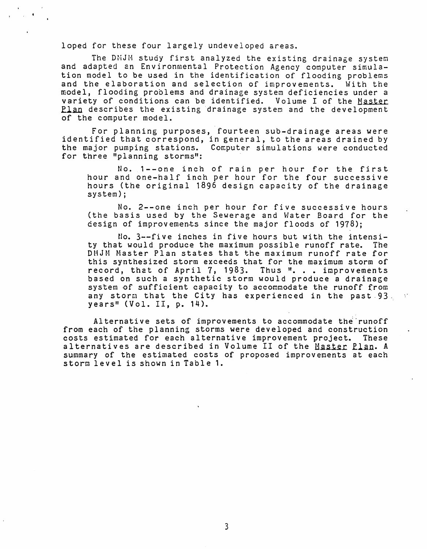loped for these four largely undeveloped areas.

The DMJM study first analyzed the existing drainage system and adapted en Environmental Protection Agency computer simulation model to be used in the identification of flooding problems and the elaboration and selection of improvements. With the model, flooding problems and drainage system deficiencies under a variety of conditions can be identified. Volume I of the Master Plan describes the existing drainage system and the development of the computer model.

For planning purposes, fourteen sub-drainage areas were identified that correspond, in general, to the areas drained by the major pumping stations. Computer simulations were conducted for three "planning storms":

No. 1--one inch of rain per hour for the first hour and one-half inch per hour for the four successive hours (the original 1896 design capacity of the drainage system);

No. 2--one inch per hour for five successive hours (the basis used by the Sewerage and Water Board for the design of improvements since the major floods of  $1978$ );

 $\text{No. } 3 \rightarrow$ -five inches in five hours but with the intensity that would produce the maximum possible runoff rate. The DMJM Master Plan states that the maximum runoff rate for this synthesized storm exceeds that for the maximum storm of record, that of April 7, 1983. Thus ". . . improvements based on such a synthetic storm would produce a drainage system of sufficient capacity to accommodate the runoff from any storm that the City has experienced in the past  $93\frac{1}{2}$  years" (Vol. II, p. 14).

Alternative sets of improvements to accommodate the runoff from each of the planning storms were developed and construction costs estimated for each alternative improvement project. These alternatives are described in Volume II of the Haster Plan. A summary of the estimated costs of proposed improvements at each storm level is shown in Table 1.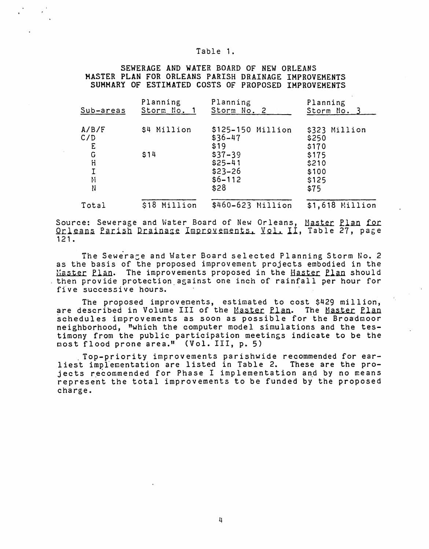#### Table 1.

SEWERAGE AND WATER BOARD OF NEW ORLEANS MASTER PLAN FOR ORLEANS PARISH DRAINAGE IMPROVEMENTS SUMMARY OF ESTIMATED COSTS OF PROPOSED IMPROVEMENTS

| Sub-areas        | Planning     | Planning                                                   | Planning                                 |
|------------------|--------------|------------------------------------------------------------|------------------------------------------|
|                  | Storm No. 1  | Storm No. 2                                                | Storm No. 3                              |
| A/B/F            | \$4 Million  | \$125-150 Million                                          | \$323 Million                            |
| C/D              |              | $$36 - 47$                                                 | \$250                                    |
| E                |              | \$19                                                       | \$170                                    |
| G<br>H<br>Μ<br>N | \$14         | $$37 - 39$<br>$$25-41$<br>$$23 - 26$<br>$$6 - 112$<br>\$28 | \$175<br>\$210<br>\$100<br>\$125<br>\$75 |
| Total            | \$18 Million | \$460-623 Million                                          | \$1,618 Million                          |

Source: Sewerage and Water Board of New Orleans, <u>Master Plan for</u><br>Orleans Parish Drainage Improvements, Vol. II, Table 27, page 121.

The Sewerage and Water Board selected Planning Storm No. 2 as the basis of the proposed improvement projects embodied in the Master Plan. The improvements proposed in the Haster Plan should then provide protection.against one inch of rainfall per hour for five successive hours.

The proposed improvements, estimated to cost \$429 million, are described in Volume III of the Master Plan. The Master Plan schedules improvements as soon as possible for the Broadmoor neighborhood, "which the computer model simulations and the testimony from the public participation meetings indicate to be the most flood prone area." (Vol. III, p. 5)

. Top-priority improvements parishwide recommended for earliest implementation are listed in Table 2. These are the projects recommended for Phase I implementation and by no means represent the total improvements to be funded by the proposed charge.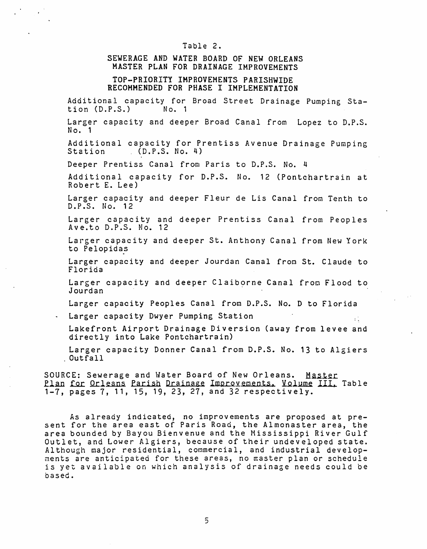#### Table 2.

## SEWERAGE AND WATER BOARD OF NEW ORLEANS MASTER PLAN FOR DRAINAGE IMPROVEMENTS

## TOP-PRIORITY IMPROVEMENTS PARISHWIDE RECOMMENDED FOR PHASE I IMPLEMENTATION

Additional capacity for Broad Street Drainage Pumping Station  $(D.P.S.)$ 

Larger capacity and deeper Broad Canal from Lopez to D.P.S. No. 1

Additional capacity for Prentiss Avenue Drainage Pumping<br>Station (D.P.S. No. 4)  $(D.P.S. No. 4)$ 

Deeper Prentiss Canal from Paris to D.P.S. No. 4

Additional capacity for D.P.S. No. 12 (Pontchartrain at Robert E. Lee)

Larger capacity and deeper Fleur de Lis Canal from Tenth to D.P.S. No. 12

Larger capacity and deeper Prentiss Canal from Peoples Ave.to D.P.S. No. 12

Larger capacity and deeper St. Anthony Canal from New York to Pelopidas

Larger capacity and deeper Jourdan Canal from St. Claude to Florida

Larger capacity and deeper Claiborne Canal from Flood to Jourdan ·

Larger capacity Peoples Canal from D.P.S. No. D to Florida

Larger capacity Dwyer Pumping Station

Lakefront Airport Drainage Diversion (away from levee and directly into Lake Pontchartrain)

Larger capacity Donner Canal from D.P.S. No. 13 to Algiers<br>. Outfall

SOURCE: Sewerage and Water Board of New Orleans. Master Plan for Orleans Parish Drainage Improvements. Volume III. Table 1-7, pages 7, 11, 15, 19, 23, 27, and 32 respectively.

As already indicated, no improvements are proposed at present for the area east of Paris Road, the Almonaster area, the area bounded by Bayou Bienvenue and the Mississippi River Gulf Outlet, and Lower Algiers, because of their undeveloped state. Although major residential, commercial, and industrial developments are anticipated for these areas, no master plan or schedule is yet available on which analysis of drainage needs could be based.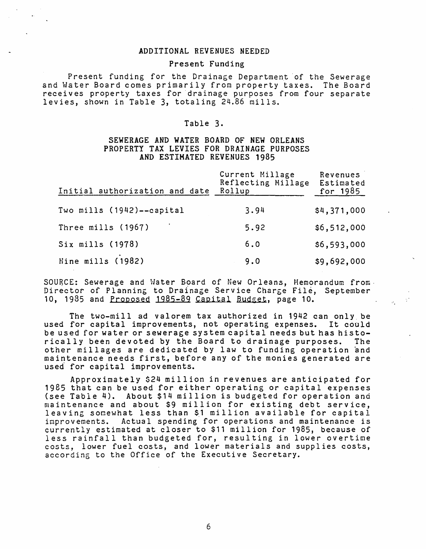## ADDITIONAL REVENUES NEEDED

## Present Funding

Present funding for the Drainage Department of the Sewerage and Water Board comes primarily from property taxes. The Board receives property taxes for drainage purposes from four separate levies, shown in Table 3, totaling 24.86 mills.

## Table 3.

## SEWERAGE AND WATER BOARD OF NEW ORLEANS PROPERTY TAX LEVIES FOR DRAINAGE PURPOSES AND ESTIMATED REVENUES 1985

| Initial authorization and date | Current Millage<br>Reflecting Millage<br>Rollup | Revenues<br>Estimated<br>for $1985$ |
|--------------------------------|-------------------------------------------------|-------------------------------------|
| Two mills (1942)--capital      | 3.94                                            | \$4,371,000                         |
| Three mills (1967)             | 5.92                                            | \$6,512,000                         |
| Six mills (1978)               | 6.0                                             | \$6,593,000                         |
| Nine mills (1982)              | 9.0                                             | \$9,692,000                         |

SOURCE: Sewerage and Water Board of New Orleans, Memorandum from. Director of Planning to Drainage Service Charge File, September 10, 1985 and Proposed  $1985-89$  Capital Budget, page 10.

a.

The two-mill ad valorem tax authorized in 1942 can only\_ be used for capital improvements, not operating expenses. It could be used for water or sewerage system capital needs but has histo-<br>rically been devoted by the Board to drainage purposes. The rically been devoted by the Board to drainage purposes. other millages are dedicated by law to funding operation and maintenance needs first, before any of the monies generated are used for capital improvements.

Approximately \$24 million in revenues are anticipated for 1985 that can be used for either operating or capital expenses (see Tabie 4). About \$14 million is budgeted for operation and maintenance and about \$9 million for existing debt service, leaving somewhat less than \$1 million available for capital improvements. Actual spending for operations and maintenance is currently estimated at closer to \$11 million for 1985, because of less rainfall than budgeted for, resulting in lower overtime costs, lower fuel costs, and lower materials and supplies costs, according to the Office of the Executive Secretary.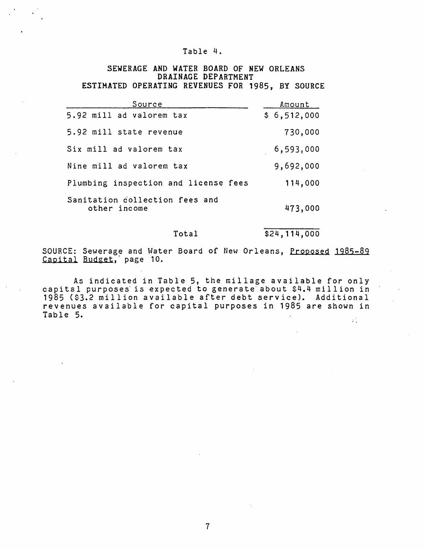## Table 4.

## SEWERAGE AND WATER BOARD OF NEW ORLEANS DRAINAGE DEPARTMENT ESTIMATED OPERATING REVENUES FOR 1985, BY SOURCE

| Source                                         | Amount      |
|------------------------------------------------|-------------|
| 5.92 mill ad valorem tax                       | \$6,512,000 |
| 5.92 mill state revenue                        | 730,000     |
| Six mill ad valorem tax                        | 6,593,000   |
| Nine mill ad valorem tax                       | 9,692,000   |
| Plumbing inspection and license fees           | 114,000     |
| Sanitation collection fees and<br>other income | 473,000     |

Total \$24,114,000

SOURCE: Sewerage and Water Board of New Orleans, Proposed 1985-89 Capital Budget, page 10.

As indicated in Table 5, the millage available for only capital purposes is expected to generate about \$4.4 million in 1985 (\$3.2 million available after debt service). Additional revenues available for capital purposes in 1985 are shown in Table 5.  $\frac{1}{2}$  ).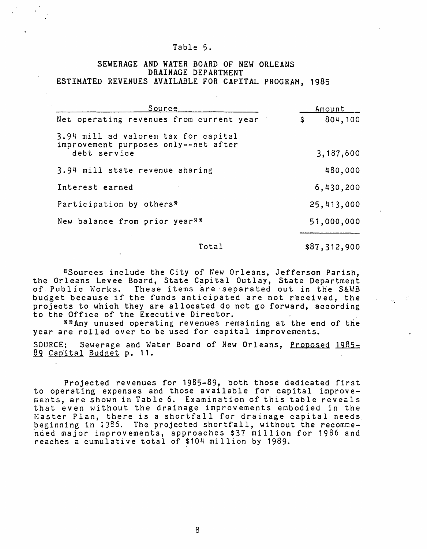#### Table 5.

## SEWERAGE AND WATER BOARD OF NEW ORLEANS DRAINAGE DEPARTMENT ESTIMATED REVENUES AVAILABLE FOR CAPITAL PROGRAM, 1985

| Source                                                                       | Amount        |
|------------------------------------------------------------------------------|---------------|
| Net operating revenues from current year                                     | \$<br>804,100 |
| 3.94 mill ad valorem tax for capital<br>improvement purposes only--net after |               |
| debt service                                                                 | 3,187,600     |
| 3.94 mill state revenue sharing                                              | 480,000       |
| Interest earned                                                              | 6,430,200     |
| Participation by others*                                                     | 25,413,000    |
| New balance from prior year**                                                | 51,000,000    |

### Total

\$87,312,900

 $\mathcal{L}^{\text{max}}_{\text{max}}$ 

\*Sources include the City of New Orleans, Jefferson Parish, the Orleans Levee Board, State Capital Outlay, State Department of Public Works. These items are separated out in the S&WB budget because if the funds anticipated are not received, the projects to which they are allocated do not go forward, according to the Office of the Executive Director.

\*\*Any unused operating revenues remaining at the end of the year are rolled over to be used for capital improvements.

SOURCE: Sewerage and Water Board of New Orleans, Proposed 1985- 89 Capital Budget p. 11.

Projected revenues for 1985-89, both those dedicated first to operating expenses and those available for capital improvements, are shown in Table 6. Examination of this table reveals that even without the drainage improvements embodied in the Master Plan, there is a shortfall for drainage capital needs beginning in 1986. The projected shortfall, without the recommended major improvements, approaches \$37 million for 1986 and reaches a cumulative total of \$104 million by 1989.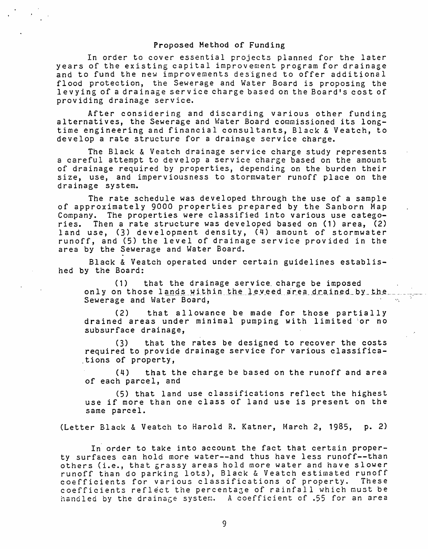#### Proposed Method of Funding

In order to cover essential projects planned for the later years of the existing capital improvement program for drainage and to fund the new improvements designed to offer additional flood protection, the Sewerage and Water Board is proposing the levying of a drainage service charge based on the Board's cost of providing drainage service.

After considering and discarding various other funding alternatives, the Sewerage and Water Board commissioned its longtime engineering and financial consultants, Black & Veatch, to develop a rate structure for a drainage service charge.

The Black & Veatch drainage service charge study represents a careful attempt to develop a service charge based on the amount of drainage required by properties, depending on the burden their size, use, and imperviousness to stormwater runoff place on the drainage system.

The rate schedule was developed through the use of a sample of approximately 9000 properties prepared by the Sanborn Map Company. The properties were classified into various use catego-<br>ries. Then a rate structure was developed based on (1) area. (2) Then a rate structure was developed based on (1) area, (2) land use, (3) development density, (4) amount of stormwater runoff, and (5) the level of drainage service provided in the area by the Sewerage and Water Board.

Black & Veatch operated under certain guidelines established by the Board:

( 1) that the drainage service. charge be imposed on 1 y on those lands within the leveed area drained by the sewerage and Water Board,

(2) that allowance be made for. those partially drained areas under minimal pumping with limited :or no subsurface drainage,

(3) that the rates be designed to recover the costs required to provide drainage service for various classifica- . tions of property,

(4) that the charge be based on the runoff and area of each parcel, and

(5) that land use classifications reflect the highest use if more than one class of land use is present on the same parcel.

(Letter Black & Veatch to Harold R. Katner, March 2, 1985, p. 2)

In order to take into account the fact that certain property surfaces can hold more water--and thus have less runoff--than others (i.e., that grassy areas hold more water and have slower runoff than do parking lots), Black & Veatch estimated runoff coefficients for various classifications of property. These coefficients reflect the percentage of rainfall which must be handled by the drainage system. A coefficient of .55 for an area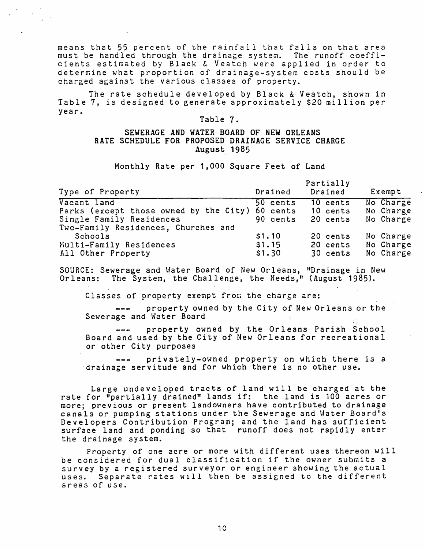means that 55 percent of the rainfall that falls on that area must be handled through the drainage system. The runoff coefficients estimated by Black & Veatch were applied in order to determine what proportion of drainage-system costs should be charged against the various classes of property.

The rate schedule developed by Black & Veatch, shown in Table 7, is designed to generate approximately \$20 million per year.

## Table 7.

## SEWERAGE AND WATER BOARD OF NEW ORLEANS RATE SCHEDULE FOR PROPOSED DRAINAGE SERVICE CHARGE August. 1985

Monthly Rate per 1,000 Square Feet of Land

| Type of Property                                                                                                         | Drained                          | Partially<br>Drained               | Exempt                              |
|--------------------------------------------------------------------------------------------------------------------------|----------------------------------|------------------------------------|-------------------------------------|
| Vacant land<br>Parks (except those owned by the City)<br>Single Family Residences<br>Two-Family Residences, Churches and | 50 cents<br>60 cents<br>90 cents | $10$ cents<br>10 cents<br>20 cents | No Charge<br>No Charge<br>No Charge |
| Schools<br>Multi-Family Residences<br>All Other Property                                                                 | \$1.10<br>\$1.15<br>\$1.30       | 20 cents<br>20 cents<br>30 cents   | No Charge<br>No Charge<br>No Charge |

SOURCE: Sewerage and Water Board of New Orleans, "Drainage in New Orleans: The System, the Challenge, the Needs," (August 1985).

Classes of property exempt from the charge are:

property owned by the City of New Orleans or the Sewerage and Water Board

property owned by the Orleans Parish School Board and used by the City of New Orleans for recreational or other City purposes

privately-owned property on which there is a ·drainage servitude and for which there is no other use.

Large undeveloped tracts of land will be charged at the rate for "partially drained" lands if: the land is 100 acres or more; previous or present landowners have contributed to drainage canals or pumping stations under the Sewerage and Water Board's Developers Contribution Program; and the land has sufficient surface land and ponding so that runoff does not rapidly enter the drainage system.

Property of one acre or more with different uses thereon will be considered for dual classification if the owner submits a survey by a registered surveyor or engineer showing the actual uses. Separate rates will then be assigned to the different areas of use.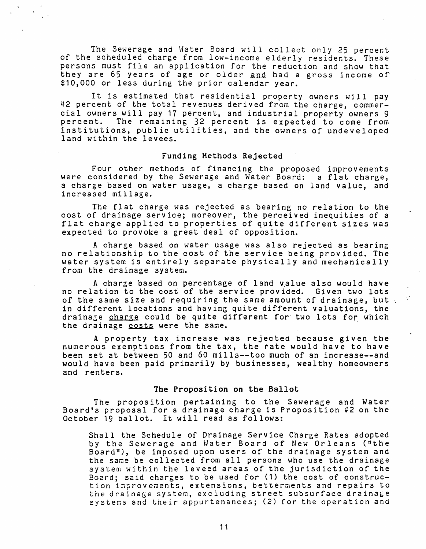The Sewerage and Water Board will collect only 25 percent of the scheduled charge from low-income elderly residents. These persons must file an application for the reduction and show that they are 65 years of age or older and had a gross income of \$10,000 or less during the prior calendar year.

It is estimated that residential property owners will pay 42 percent of the total revenues derived from the charge, commercial owners will pay 17 percent, and industrial property owners 9<br>percent. The remaining 32 percent is expected to come from The remaining 32 percent is expected to come from institutions, public utilities, and the owners of undeveloped land within the levees.

#### Funding Methods Rejected

Four other methods of financing the proposed improvements were considered by the Sewerage and Water Board: a flat charge, a charge based on water usage, a charge based on land value, and increased millage.

The flat charge was rejected as bearing no relation to the cost of drainage service; moreover, the perceived inequities of a cost of drainage service, moreover, the percerved inequities of a<br>flat charge applied to properties of quite different sizes was expected to provoke a great deal of opposition.

A charge based on water usage was also rejected as bearing no relationship to the cost of the service being provided. The water system is entirely separate physically and mechanically from the drainage system.

A charge based on percentage of land value also would have no relation to the cost of the service provided. Given two lots of the same size and requiring the same amount of drainage, but in different locations and having quite different valuations, the drainage charge could be quite different for two lots for which the drainage costs were the same.

A property tax increase was rejected because given the numerous exemptions from the tax, the rate would have to have been set at between 50 and 60 mills--too much of an increase--and would have been paid primarily by businesses, wealthy homeowners and renters.

### The Proposition on the Ballot

The proposition pertaining to the Sewerage and Water Board's proposal for a drainage charge is Proposition #2 on the October 19 ballot. It will read as follows:

Shall the Schedule of Drainage Service Charge Rates adopted by the Sewerage and Water Board of New Orleans ("the Board"), be imposed upon users of the drainage system and the same be collected from all persons who use the drainage system within the leveed areas of the jurisdiction of the Board; said charges to be used for  $(1)$  the cost of construction improvements, extensions, betterments and repairs to the drainage system, excluding street subsurface drainage systems and their appurtenances; (2) for the operation and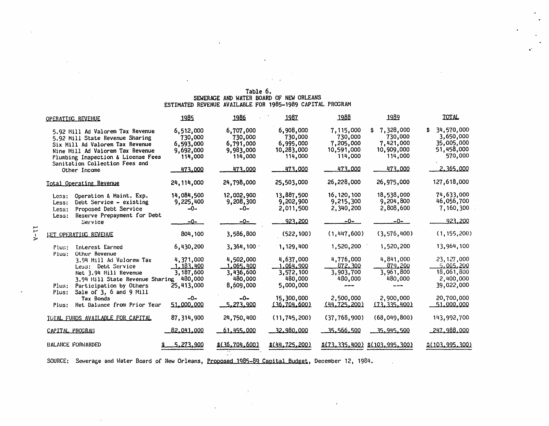# Table 6. SEWERAGE AND WATER BOARD OF NEW ORLEANS<br>ESTIMATED REVENUE AVAILABLE FOR 1985-1989 CAPITAL PROGRAM

 $\alpha = 1$ 

 $\cdot$ 

|  | OPERATING REVENUE                                                                                                                                                                                                  | 1985                                                                 | 1986                                                                 | 1987                                                                  | 1988                                                                  | 1989                                                                        | TOTAL                                                                       |
|--|--------------------------------------------------------------------------------------------------------------------------------------------------------------------------------------------------------------------|----------------------------------------------------------------------|----------------------------------------------------------------------|-----------------------------------------------------------------------|-----------------------------------------------------------------------|-----------------------------------------------------------------------------|-----------------------------------------------------------------------------|
|  | 5.92 Mill Ad Valorem Tax Revenue<br>5.92 Mill State Revenue Sharing<br>Six Mill Ad Valorem Tax Revenue<br>Nine Mill Ad Valorem Tax Revenue<br>Plumbing Inspection & License Fees<br>Sanitation Collection Fees and | 6,512,000<br>730,000<br>6,593,000<br>9,692,000<br>114,000<br>473,000 | 6,707,000<br>730,000<br>6,791,000<br>9,983,000<br>114,000<br>473.000 | 6,908,000<br>730,000<br>6,995,000<br>10,283,000<br>114,000<br>473.000 | 7,115,000<br>730,000<br>7,205,000<br>10,591,000<br>114,000<br>473,000 | 7,328,000<br>\$<br>730,000<br>7,421,000<br>10,909,000<br>114,000<br>473.000 | 34,570,000<br>3,650,000<br>35,005,000<br>51,458,000<br>570,000<br>2.365.000 |
|  | Other Income<br>Total Operating Revenue                                                                                                                                                                            | 24, 114, 000                                                         | 24,798,000                                                           | 25,503,000                                                            | 26,228,000                                                            | 26,975,000                                                                  | 127,618,000                                                                 |
|  | Operation & Maint. Exp.<br>Less:<br>Debt Service - existing<br>Less:<br>Proposed Debt Service<br>Less:                                                                                                             | 14,084,500<br>9,225,400<br>$-0-$                                     | 12,002,900<br>9,208,300<br>-0-                                       | 13,887,500<br>9,202,900<br>2,011,500                                  | 16, 120, 100<br>9,215,300<br>2,340,200                                | 18,538,000<br>9,204,800<br>2,808,600                                        | 74,633,000<br>46,056,700<br>7,160,300                                       |
|  | Reserve Prepayment for Debt<br>Less:<br>Service                                                                                                                                                                    | -0-                                                                  | -0-                                                                  | 923.200                                                               | -0-                                                                   | --0-                                                                        | 923,200                                                                     |
|  | <b>IET OPERATING REVENUE</b>                                                                                                                                                                                       | 804,100                                                              | 3,586,800                                                            | (522, 100)                                                            | (1, 447, 600)                                                         | (3, 576, 400)                                                               | (1, 155, 200)                                                               |
|  | Interest Earned<br>Plus:<br>Other Revenue<br>Plus:                                                                                                                                                                 | 6,430,200                                                            | 3,364,100                                                            | 1,129,400                                                             | 1,520,200                                                             | 1,520,200                                                                   | 13,964,100                                                                  |
|  | 3.94 Mill Ad Valorem Tax<br>Less: Debt Service<br>Net 3.94 Mill Revenue<br>3.94 Mill State Revenue Sharing                                                                                                         | 4,371,000<br>1.183.400<br>3,187,600<br>480,000                       | 4,502,000<br>1.065.400<br>3,436,600<br>480,000                       | 4,637,000<br>1.064.900<br>3,572,100<br>480,000                        | 4,776,000<br>872.300<br>3,903,700<br>480,000                          | 4,841,000<br>879.200<br>3,961,800<br>480,000                                | 23,127,000<br>065.200 ن<br>18,061,800<br>2,400,000                          |
|  | Participation by Others<br>Plus:<br>Sale of 3, 6 and 9 Mill<br>Plus:                                                                                                                                               | 25,413,000                                                           | 8,609,000                                                            | 5,000,000                                                             |                                                                       |                                                                             | 39,022,000                                                                  |
|  | Tax Bonds<br>Het Balance from Prior Year<br>Plus:                                                                                                                                                                  | $-0-$<br>51.000.000                                                  | -0-<br><u>5,273,900</u>                                              | 15,300,000<br>(36.704.600)                                            | 2,500,000<br>(44,725,200)                                             | 2,900,000<br>(73, 335, 400)                                                 | 20,700,000<br>51,000,000                                                    |
|  | TOTAL FUNDS AVAILABLE FOR CAPITAL                                                                                                                                                                                  | 87, 314, 900                                                         | 24,750,400                                                           | (11, 745, 200)                                                        | (37, 768, 900)                                                        | (68, 049, 800)                                                              | 143,992,700                                                                 |
|  | CAPITAL PROGRAM                                                                                                                                                                                                    | 82.041.000                                                           | 61.455.000                                                           | 32,980,000                                                            | 35.566.500                                                            | 15,945,500                                                                  | 247.988.000                                                                 |
|  | <b>BALANCE FORWARDED</b>                                                                                                                                                                                           | 5,273,900                                                            | \$(36,704,600)                                                       | \$(44.725.200)                                                        |                                                                       | \$(73,335,400) \$(103,995,300)                                              | <u> 2(103, 995, 300)</u>                                                    |

 $\mathbb{R}^2$ 

SOURCE: Sewerage and Water Board of New Orleans, Proposed 1985-89 Capital Budget, December 12, 1984.

 $\mathcal{L}_{\mathbf{a}}$ 

 $\sim$ 

÷.

 $7 - 11$ 

 $\bar{z}$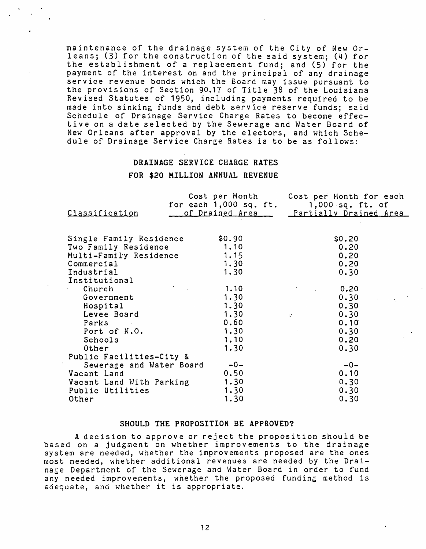maintenance of the drainage system of the City of New Orleans; (3) for the construction of the said system; (4) for the establishment of a replacement fund; and (5) for the payment of the interest on and the principal of any drainage service revenue bonds which the Board may issue pursuant to the provisions of Section 90.17 of Title 38 of the Louisiana Revised Statutes of 1950, including payments required to be made into sinking funds and debt service reserve funds; said Schedule of Drainage Service Charge Rates to become effective on a date selected by the Sewerage and Water Board of New Orleans after approval by the electors, and which Schedule of Drainage Service Charge Rates is to be as follows:

# DRAINAGE SERVICE CHARGE RATES FOR \$20 MILLION ANNUAL REVENUE

|                          |                 | Cost per Month Cost per Month for each              |
|--------------------------|-----------------|-----------------------------------------------------|
|                          |                 | for each $1,000$ sq. ft. $1,000$ sq. ft. of         |
| Classification           | of Drained Area | Partially Drained Area                              |
|                          |                 |                                                     |
| Single Family Residence  | \$0.90          | \$0.20                                              |
| Two Family Residence     | 1.10            | 0.20                                                |
| Multi-Family Residence   | 1.15            | 0.20                                                |
| Commercial               | 1.30            | 0.20                                                |
| Industrial               | 1.30            | 0.30                                                |
| Institutional            |                 |                                                     |
| Church                   | 1.10            | 0.20                                                |
| Government               | 1.30            | 0.30                                                |
| Hospital                 | 1.30            | 0.30                                                |
| Levee Board              | 1.30            | 0.30<br>$\Delta \mathbf{r}$ and $\Delta \mathbf{r}$ |
| <b>Parks</b>             | 0.60            | 0.10                                                |
| Port of N.O.             | 1.30            | 0.30                                                |
| Schools                  | 1.10            | 0.20                                                |
| Other                    | 1.30            | 0.30                                                |
| Public Facilities-City & |                 |                                                     |
| Sewerage and Water Board | $-0-$           | $-0-$                                               |
| Vacant Land              | 0.50            | 0.10                                                |
| Vacant Land With Parking | 1.30            | 0.30                                                |
| Public Utilities         | 1.30            | 0.30                                                |
| Other                    | 1.30            | 0.30                                                |

#### SHOULD THE PROPOSITION BE APPROVED?

A decision to approve or reject the proposition should be based on a judgment on whether improvements to the drainage system are needed, whether the improvements proposed are the ones most needed, whether additional revenues are needed by the Drai nage Department of the Sewerage and Water Board in order to fund any needed improvements, whether the proposed funding method is any needed improvements, whether the pre-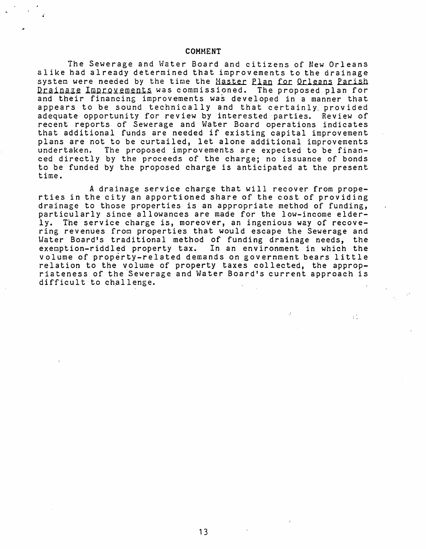#### COMMENT

The Sewerage and Water Board and citizens of New Orleans alike had already determined that improvements to the drainage system were needed by the time the Haster Plan for Orleans Parish Drainaze Improvements was commissioned. The proposed plan for and their financing improvements was developed in a manner that appears to be sound technically and that certainly. provided adequate opportunity for review by interested parties. Review of recent reports of Sewerage and Water Board operations indicates that additional funds are needed if existing capital improvement plans are not to be curtailed, let alone additional improvements<br>undertaken. The proposed improvements are expected to be finan-The proposed improvements are expected to be financed directly by the proceeds of the charge; no issuance of bonds to be funded by the proposed charge is anticipated at the present time.

A drainage service charge that will recover from properties in the city an apportioned share of the cost of providing drainage to those properties is an appropriate method of funding, particularly since allowances are made for the low-income elder-<br>ly. The service charge is, moreover, an ingenious way of recove-The service charge is, moreover, an ingenious way of recovering revenues from properties that would escape the Sewerage and Water Board's traditional method of funding drainage needs, the exemption-riddled property tax. In an environment in which the volume of property-related demands on government bears little relation to the volume of property taxes collected, the appropriateness of the Sewerage and Water Board's current approach is difficult to challenge.

 $\pm$  1.